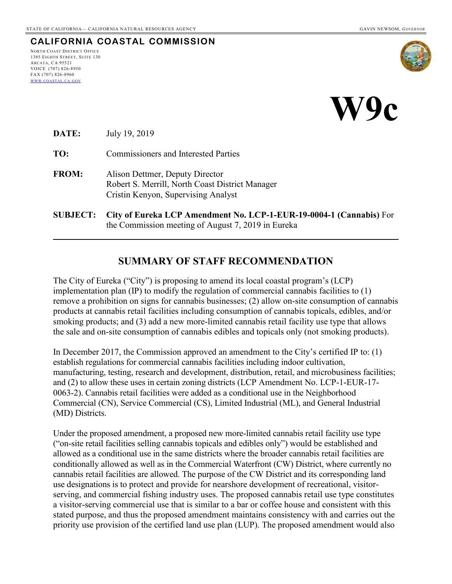NORTH COAST DISTRICT OFFICE 1385 EIGHTH STREET, SUITE 130

ARCATA, CA 95521 VOICE (707) 826-8950 FAX (707) 826-8960 WWW.[COASTAL](http://www.coastal.ca.gov/).CA.GOV

**CALIFORNIA COASTAL COMMISSION**



**DATE:** July 19, 2019

**TO:** Commissioners and Interested Parties

- **FROM:** Alison Dettmer, Deputy Director Robert S. Merrill, North Coast District Manager Cristin Kenyon, Supervising Analyst
- **SUBJECT: City of Eureka LCP Amendment No. LCP-1-EUR-19-0004-1 (Cannabis)** For the Commission meeting of August 7, 2019 in Eureka

# **SUMMARY OF STAFF RECOMMENDATION**

The City of Eureka ("City") is proposing to amend its local coastal program's (LCP) implementation plan (IP) to modify the regulation of commercial cannabis facilities to (1) remove a prohibition on signs for cannabis businesses; (2) allow on-site consumption of cannabis products at cannabis retail facilities including consumption of cannabis topicals, edibles, and/or smoking products; and (3) add a new more-limited cannabis retail facility use type that allows the sale and on-site consumption of cannabis edibles and topicals only (not smoking products).

In December 2017, the Commission approved an amendment to the City's certified IP to: (1) establish regulations for commercial cannabis facilities including indoor cultivation, manufacturing, testing, research and development, distribution, retail, and microbusiness facilities; and (2) to allow these uses in certain zoning districts (LCP Amendment No. LCP-1-EUR-17- 0063-2). Cannabis retail facilities were added as a conditional use in the Neighborhood Commercial (CN), Service Commercial (CS), Limited Industrial (ML), and General Industrial (MD) Districts.

Under the proposed amendment, a proposed new more-limited cannabis retail facility use type ("on-site retail facilities selling cannabis topicals and edibles only") would be established and allowed as a conditional use in the same districts where the broader cannabis retail facilities are conditionally allowed as well as in the Commercial Waterfront (CW) District, where currently no cannabis retail facilities are allowed. The purpose of the CW District and its corresponding land use designations is to protect and provide for nearshore development of recreational, visitorserving, and commercial fishing industry uses. The proposed cannabis retail use type constitutes a visitor-serving commercial use that is similar to a bar or coffee house and consistent with this stated purpose, and thus the proposed amendment maintains consistency with and carries out the priority use provision of the certified land use plan (LUP). The proposed amendment would also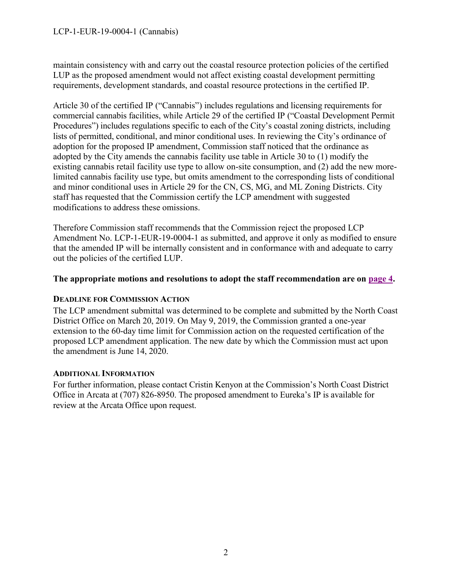maintain consistency with and carry out the coastal resource protection policies of the certified LUP as the proposed amendment would not affect existing coastal development permitting requirements, development standards, and coastal resource protections in the certified IP.

Article 30 of the certified IP ("Cannabis") includes regulations and licensing requirements for commercial cannabis facilities, while Article 29 of the certified IP ("Coastal Development Permit Procedures") includes regulations specific to each of the City's coastal zoning districts, including lists of permitted, conditional, and minor conditional uses. In reviewing the City's ordinance of adoption for the proposed IP amendment, Commission staff noticed that the ordinance as adopted by the City amends the cannabis facility use table in Article 30 to (1) modify the existing cannabis retail facility use type to allow on-site consumption, and (2) add the new morelimited cannabis facility use type, but omits amendment to the corresponding lists of conditional and minor conditional uses in Article 29 for the CN, CS, MG, and ML Zoning Districts. City staff has requested that the Commission certify the LCP amendment with suggested modifications to address these omissions.

Therefore Commission staff recommends that the Commission reject the proposed LCP Amendment No. LCP-1-EUR-19-0004-1 as submitted, and approve it only as modified to ensure that the amended IP will be internally consistent and in conformance with and adequate to carry out the policies of the certified LUP.

#### **The appropriate motions and resolutions to adopt the staff recommendation are on [page 4.](#page-3-0)**

# **DEADLINE FOR COMMISSION ACTION**

The LCP amendment submittal was determined to be complete and submitted by the North Coast District Office on March 20, 2019. On May 9, 2019, the Commission granted a one-year extension to the 60-day time limit for Commission action on the requested certification of the proposed LCP amendment application. The new date by which the Commission must act upon the amendment is June 14, 2020.

# **ADDITIONAL INFORMATION**

For further information, please contact Cristin Kenyon at the Commission's North Coast District Office in Arcata at (707) 826-8950. The proposed amendment to Eureka's IP is available for review at the Arcata Office upon request.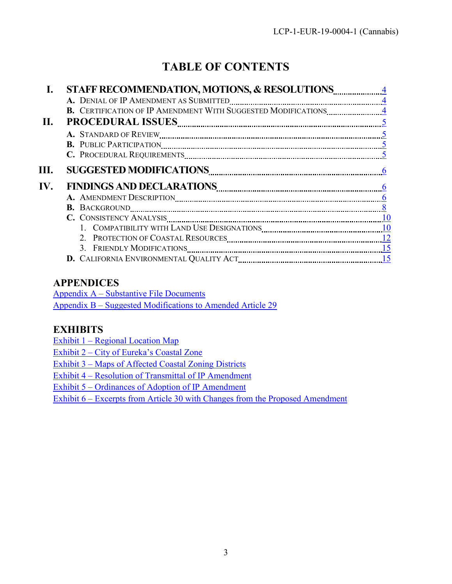# **TABLE OF CONTENTS**

| STAFF RECOMMENDATION, MOTIONS, & RESOLUTIONS<br>SUGGESTED MODIFICATIONS Entertainment and the contract of the set of the set of the set of the set of the set o<br>FINDINGS AND DECLARATIONS EXAMPLE TO A 1990 FINDINGS AND DECLARATIONS |
|------------------------------------------------------------------------------------------------------------------------------------------------------------------------------------------------------------------------------------------|

# **APPENDICES**

Appendix A – [Substantive File Documents](#page-16-0) Appendix B – [Suggested Modifications to Amended Article 29](#page-17-0)

# **EXHIBITS**

Exhibit 1 – Regional Location Map

Exhibit 2 – City of Eureka's Coastal Zone

Exhibit 3 – Maps of Affected Coastal Zoning Districts

Exhibit 4 – [Resolution of Transmittal of IP Amendment](https://documents.coastal.ca.gov/reports/2019/8/w9c/w9c-8-2019-exhibits.pdf)

Exhibit 5 – Ordinances of Adoption of IP Amendment

Exhibit 6 – Excerpts from Article 30 with Changes from the Proposed Amendment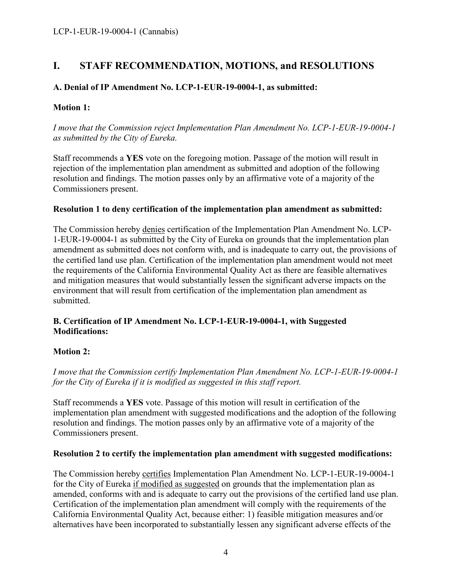# <span id="page-3-0"></span>**I. STAFF RECOMMENDATION, MOTIONS, and RESOLUTIONS**

### <span id="page-3-1"></span>**A. Denial of IP Amendment No. LCP-1-EUR-19-0004-1, as submitted:**

#### **Motion 1:**

*I move that the Commission reject Implementation Plan Amendment No. LCP-1-EUR-19-0004-1 as submitted by the City of Eureka.*

Staff recommends a **YES** vote on the foregoing motion. Passage of the motion will result in rejection of the implementation plan amendment as submitted and adoption of the following resolution and findings. The motion passes only by an affirmative vote of a majority of the Commissioners present.

#### **Resolution 1 to deny certification of the implementation plan amendment as submitted:**

The Commission hereby denies certification of the Implementation Plan Amendment No. LCP-1-EUR-19-0004-1 as submitted by the City of Eureka on grounds that the implementation plan amendment as submitted does not conform with, and is inadequate to carry out, the provisions of the certified land use plan. Certification of the implementation plan amendment would not meet the requirements of the California Environmental Quality Act as there are feasible alternatives and mitigation measures that would substantially lessen the significant adverse impacts on the environment that will result from certification of the implementation plan amendment as submitted.

#### <span id="page-3-2"></span>**B. Certification of IP Amendment No. LCP-1-EUR-19-0004-1, with Suggested Modifications:**

#### **Motion 2:**

*I move that the Commission certify Implementation Plan Amendment No. LCP-1-EUR-19-0004-1 for the City of Eureka if it is modified as suggested in this staff report.*

Staff recommends a **YES** vote. Passage of this motion will result in certification of the implementation plan amendment with suggested modifications and the adoption of the following resolution and findings. The motion passes only by an affirmative vote of a majority of the Commissioners present.

#### **Resolution 2 to certify the implementation plan amendment with suggested modifications:**

The Commission hereby certifies Implementation Plan Amendment No. LCP-1-EUR-19-0004-1 for the City of Eureka if modified as suggested on grounds that the implementation plan as amended, conforms with and is adequate to carry out the provisions of the certified land use plan. Certification of the implementation plan amendment will comply with the requirements of the California Environmental Quality Act, because either: 1) feasible mitigation measures and/or alternatives have been incorporated to substantially lessen any significant adverse effects of the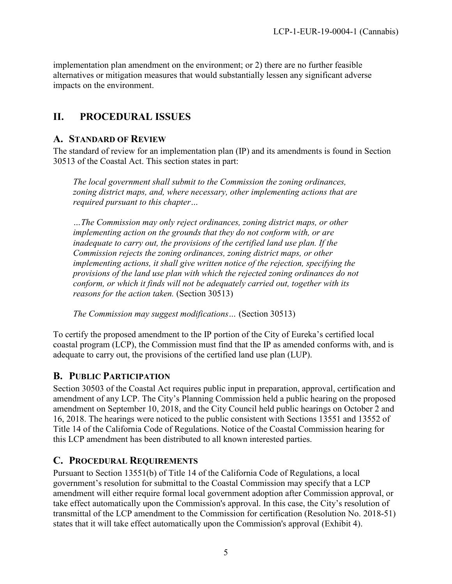implementation plan amendment on the environment; or 2) there are no further feasible alternatives or mitigation measures that would substantially lessen any significant adverse impacts on the environment.

# <span id="page-4-0"></span>**II. PROCEDURAL ISSUES**

# <span id="page-4-1"></span>**A. STANDARD OF REVIEW**

The standard of review for an implementation plan (IP) and its amendments is found in Section 30513 of the Coastal Act. This section states in part:

*The local government shall submit to the Commission the zoning ordinances, zoning district maps, and, where necessary, other implementing actions that are required pursuant to this chapter…*

*…The Commission may only reject ordinances, zoning district maps, or other implementing action on the grounds that they do not conform with, or are inadequate to carry out, the provisions of the certified land use plan. If the Commission rejects the zoning ordinances, zoning district maps, or other implementing actions, it shall give written notice of the rejection, specifying the provisions of the land use plan with which the rejected zoning ordinances do not conform, or which it finds will not be adequately carried out, together with its reasons for the action taken.* (Section 30513)

*The Commission may suggest modifications…* (Section 30513)

To certify the proposed amendment to the IP portion of the City of Eureka's certified local coastal program (LCP), the Commission must find that the IP as amended conforms with, and is adequate to carry out, the provisions of the certified land use plan (LUP).

# <span id="page-4-2"></span>**B. PUBLIC PARTICIPATION**

Section 30503 of the Coastal Act requires public input in preparation, approval, certification and amendment of any LCP. The City's Planning Commission held a public hearing on the proposed amendment on September 10, 2018, and the City Council held public hearings on October 2 and 16, 2018. The hearings were noticed to the public consistent with Sections 13551 and 13552 of Title 14 of the California Code of Regulations. Notice of the Coastal Commission hearing for this LCP amendment has been distributed to all known interested parties.

# <span id="page-4-3"></span>**C. PROCEDURAL REQUIREMENTS**

Pursuant to Section 13551(b) of Title 14 of the California Code of Regulations, a local government's resolution for submittal to the Coastal Commission may specify that a LCP amendment will either require formal local government adoption after Commission approval, or take effect automatically upon the Commission's approval. In this case, the City's resolution of transmittal of the LCP amendment to the Commission for certification (Resolution No. 2018-51) states that it will take effect automatically upon the Commission's approval (Exhibit 4).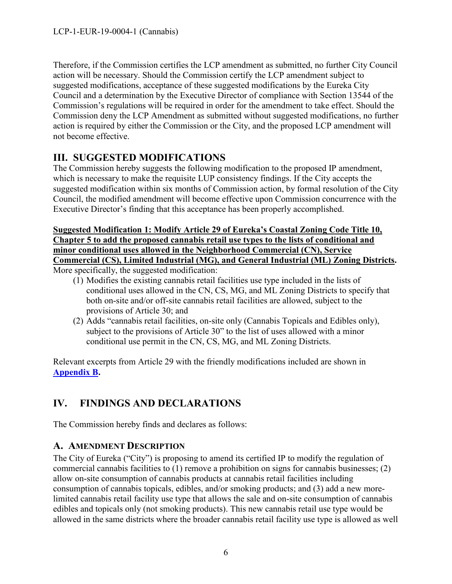Therefore, if the Commission certifies the LCP amendment as submitted, no further City Council action will be necessary. Should the Commission certify the LCP amendment subject to suggested modifications, acceptance of these suggested modifications by the Eureka City Council and a determination by the Executive Director of compliance with Section 13544 of the Commission's regulations will be required in order for the amendment to take effect. Should the Commission deny the LCP Amendment as submitted without suggested modifications, no further action is required by either the Commission or the City, and the proposed LCP amendment will not become effective.

# <span id="page-5-0"></span>**III. SUGGESTED MODIFICATIONS**

The Commission hereby suggests the following modification to the proposed IP amendment, which is necessary to make the requisite LUP consistency findings. If the City accepts the suggested modification within six months of Commission action, by formal resolution of the City Council, the modified amendment will become effective upon Commission concurrence with the Executive Director's finding that this acceptance has been properly accomplished.

**Suggested Modification 1: Modify Article 29 of Eureka's Coastal Zoning Code Title 10, Chapter 5 to add the proposed cannabis retail use types to the lists of conditional and minor conditional uses allowed in the Neighborhood Commercial (CN), Service Commercial (CS), Limited Industrial (MG), and General Industrial (ML) Zoning Districts.**  More specifically, the suggested modification:

- (1) Modifies the existing cannabis retail facilities use type included in the lists of conditional uses allowed in the CN, CS, MG, and ML Zoning Districts to specify that both on-site and/or off-site cannabis retail facilities are allowed, subject to the provisions of Article 30; and
- (2) Adds "cannabis retail facilities, on-site only (Cannabis Topicals and Edibles only), subject to the provisions of Article 30" to the list of uses allowed with a minor conditional use permit in the CN, CS, MG, and ML Zoning Districts.

Relevant excerpts from Article 29 with the friendly modifications included are shown in **Appendix B.**

# <span id="page-5-1"></span>**IV. FINDINGS AND DECLARATIONS**

The Commission hereby finds and declares as follows:

# <span id="page-5-2"></span>**A. AMENDMENT DESCRIPTION**

The City of Eureka ("City") is proposing to amend its certified IP to modify the regulation of commercial cannabis facilities to (1) remove a prohibition on signs for cannabis businesses; (2) allow on-site consumption of cannabis products at cannabis retail facilities including consumption of cannabis topicals, edibles, and/or smoking products; and (3) add a new morelimited cannabis retail facility use type that allows the sale and on-site consumption of cannabis edibles and topicals only (not smoking products). This new cannabis retail use type would be allowed in the same districts where the broader cannabis retail facility use type is allowed as well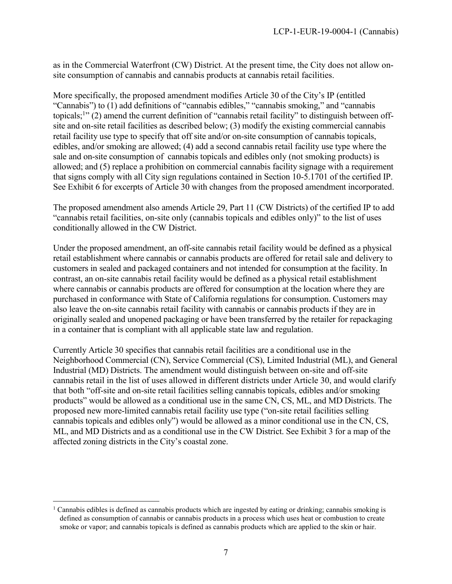as in the Commercial Waterfront (CW) District. At the present time, the City does not allow onsite consumption of cannabis and cannabis products at cannabis retail facilities.

More specifically, the proposed amendment modifies Article 30 of the City's IP (entitled "Cannabis") to (1) add definitions of "cannabis edibles," "cannabis smoking," and "cannabis topicals;<sup>1</sup>" (2) amend the current definition of "cannabis retail facility" to distinguish between offsite and on-site retail facilities as described below; (3) modify the existing commercial cannabis retail facility use type to specify that off site and/or on-site consumption of cannabis topicals, edibles, and/or smoking are allowed; (4) add a second cannabis retail facility use type where the sale and on-site consumption of cannabis topicals and edibles only (not smoking products) is allowed; and (5) replace a prohibition on commercial cannabis facility signage with a requirement that signs comply with all City sign regulations contained in Section 10-5.1701 of the certified IP. See Exhibit 6 for excerpts of Article 30 with changes from the proposed amendment incorporated.

The proposed amendment also amends Article 29, Part 11 (CW Districts) of the certified IP to add "cannabis retail facilities, on-site only (cannabis topicals and edibles only)" to the list of uses conditionally allowed in the CW District.

Under the proposed amendment, an off-site cannabis retail facility would be defined as a physical retail establishment where cannabis or cannabis products are offered for retail sale and delivery to customers in sealed and packaged containers and not intended for consumption at the facility. In contrast, an on-site cannabis retail facility would be defined as a physical retail establishment where cannabis or cannabis products are offered for consumption at the location where they are purchased in conformance with State of California regulations for consumption. Customers may also leave the on-site cannabis retail facility with cannabis or cannabis products if they are in originally sealed and unopened packaging or have been transferred by the retailer for repackaging in a container that is compliant with all applicable state law and regulation.

Currently Article 30 specifies that cannabis retail facilities are a conditional use in the Neighborhood Commercial (CN), Service Commercial (CS), Limited Industrial (ML), and General Industrial (MD) Districts. The amendment would distinguish between on-site and off-site cannabis retail in the list of uses allowed in different districts under Article 30, and would clarify that both "off-site and on-site retail facilities selling cannabis topicals, edibles and/or smoking products" would be allowed as a conditional use in the same CN, CS, ML, and MD Districts. The proposed new more-limited cannabis retail facility use type ("on-site retail facilities selling cannabis topicals and edibles only") would be allowed as a minor conditional use in the CN, CS, ML, and MD Districts and as a conditional use in the CW District. See Exhibit 3 for a map of the affected zoning districts in the City's coastal zone.

 $\overline{a}$ 

<sup>&</sup>lt;sup>1</sup> Cannabis edibles is defined as cannabis products which are ingested by eating or drinking; cannabis smoking is defined as consumption of cannabis or cannabis products in a process which uses heat or combustion to create smoke or vapor; and cannabis topicals is defined as cannabis products which are applied to the skin or hair.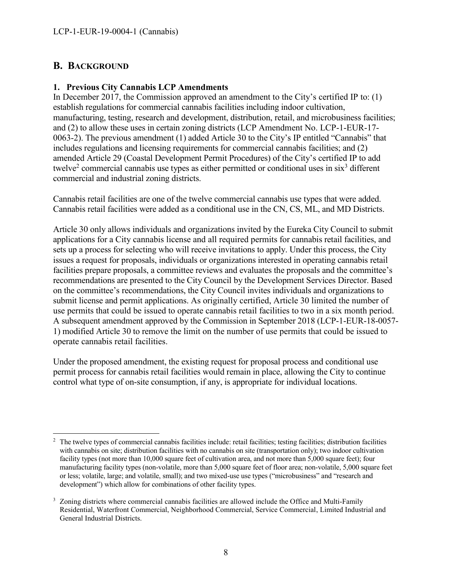# <span id="page-7-0"></span>**B. BACKGROUND**

#### **1. Previous City Cannabis LCP Amendments**

In December 2017, the Commission approved an amendment to the City's certified IP to: (1) establish regulations for commercial cannabis facilities including indoor cultivation, manufacturing, testing, research and development, distribution, retail, and microbusiness facilities; and (2) to allow these uses in certain zoning districts (LCP Amendment No. LCP-1-EUR-17- 0063-2). The previous amendment (1) added Article 30 to the City's IP entitled "Cannabis" that includes regulations and licensing requirements for commercial cannabis facilities; and (2) amended Article 29 (Coastal Development Permit Procedures) of the City's certified IP to add twelve<sup>2</sup> commercial cannabis use types as either permitted or conditional uses in  $\sin^3$  different commercial and industrial zoning districts.

Cannabis retail facilities are one of the twelve commercial cannabis use types that were added. Cannabis retail facilities were added as a conditional use in the CN, CS, ML, and MD Districts.

Article 30 only allows individuals and organizations invited by the Eureka City Council to submit applications for a City cannabis license and all required permits for cannabis retail facilities, and sets up a process for selecting who will receive invitations to apply. Under this process, the City issues a request for proposals, individuals or organizations interested in operating cannabis retail facilities prepare proposals, a committee reviews and evaluates the proposals and the committee's recommendations are presented to the City Council by the Development Services Director. Based on the committee's recommendations, the City Council invites individuals and organizations to submit license and permit applications. As originally certified, Article 30 limited the number of use permits that could be issued to operate cannabis retail facilities to two in a six month period. A subsequent amendment approved by the Commission in September 2018 (LCP-1-EUR-18-0057- 1) modified Article 30 to remove the limit on the number of use permits that could be issued to operate cannabis retail facilities.

Under the proposed amendment, the existing request for proposal process and conditional use permit process for cannabis retail facilities would remain in place, allowing the City to continue control what type of on-site consumption, if any, is appropriate for individual locations.

 $\overline{a}$ <sup>2</sup> The twelve types of commercial cannabis facilities include: retail facilities; testing facilities; distribution facilities with cannabis on site; distribution facilities with no cannabis on site (transportation only); two indoor cultivation facility types (not more than 10,000 square feet of cultivation area, and not more than 5,000 square feet); four manufacturing facility types (non-volatile, more than 5,000 square feet of floor area; non-volatile, 5,000 square feet or less; volatile, large; and volatile, small); and two mixed-use use types ("microbusiness" and "research and development") which allow for combinations of other facility types.

<sup>&</sup>lt;sup>3</sup> Zoning districts where commercial cannabis facilities are allowed include the Office and Multi-Family Residential, Waterfront Commercial, Neighborhood Commercial, Service Commercial, Limited Industrial and General Industrial Districts.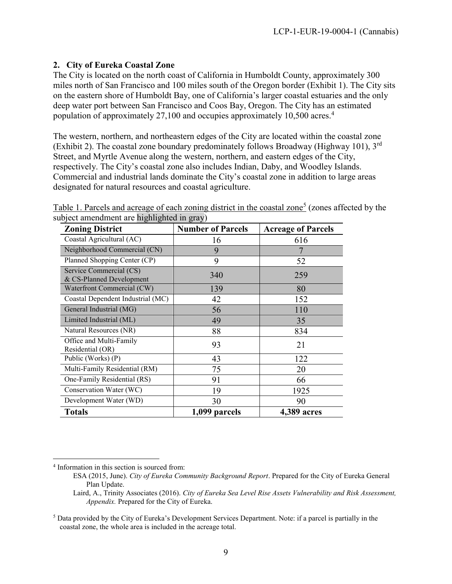#### **2. City of Eureka Coastal Zone**

The City is located on the north coast of California in Humboldt County, approximately 300 miles north of San Francisco and 100 miles south of the Oregon border (Exhibit 1). The City sits on the eastern shore of Humboldt Bay, one of California's larger coastal estuaries and the only deep water port between San Francisco and Coos Bay, Oregon. The City has an estimated population of approximately 27,100 and occupies approximately 10,500 acres. 4

The western, northern, and northeastern edges of the City are located within the coastal zone (Exhibit 2). The coastal zone boundary predominately follows Broadway (Highway 101),  $3<sup>rd</sup>$ Street, and Myrtle Avenue along the western, northern, and eastern edges of the City, respectively. The City's coastal zone also includes Indian, Daby, and Woodley Islands. Commercial and industrial lands dominate the City's coastal zone in addition to large areas designated for natural resources and coastal agriculture.

| <b>Zoning District</b>                              | <b>Number of Parcels</b> | <b>Acreage of Parcels</b> |
|-----------------------------------------------------|--------------------------|---------------------------|
| Coastal Agricultural (AC)                           | 16                       | 616                       |
| Neighborhood Commercial (CN)                        | 9                        |                           |
| Planned Shopping Center (CP)                        | 9                        | 52                        |
| Service Commercial (CS)<br>& CS-Planned Development | 340                      | 259                       |
| Waterfront Commercial (CW)                          | 139                      | 80                        |
| Coastal Dependent Industrial (MC)                   | 42                       | 152                       |
| General Industrial (MG)                             | 56                       | 110                       |
| Limited Industrial (ML)                             | 49                       | 35                        |
| Natural Resources (NR)                              | 88                       | 834                       |
| Office and Multi-Family<br>Residential (OR)         | 93                       | 21                        |
| Public (Works) (P)                                  | 43                       | 122                       |
| Multi-Family Residential (RM)                       | 75                       | 20                        |
| One-Family Residential (RS)                         | 91                       | 66                        |
| Conservation Water (WC)                             | 19                       | 1925                      |
| Development Water (WD)                              | 30                       | 90                        |
| <b>Totals</b>                                       | 1,099 parcels            | 4,389 acres               |

Table 1. Parcels and acreage of each zoning district in the coastal zone<sup>5</sup> (zones affected by the subject amendment are highlighted in gray)

 $\overline{a}$ 4 Information in this section is sourced from:

ESA (2015, June). *City of Eureka Community Background Report*. Prepared for the City of Eureka General Plan Update.

Laird, A., Trinity Associates (2016). *City of Eureka Sea Level Rise Assets Vulnerability and Risk Assessment, Appendix.* Prepared for the City of Eureka.

<sup>5</sup> Data provided by the City of Eureka's Development Services Department. Note: if a parcel is partially in the coastal zone, the whole area is included in the acreage total.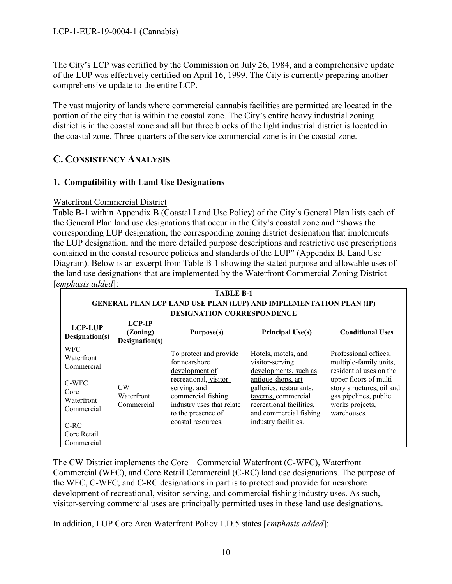The City's LCP was certified by the Commission on July 26, 1984, and a comprehensive update of the LUP was effectively certified on April 16, 1999. The City is currently preparing another comprehensive update to the entire LCP.

The vast majority of lands where commercial cannabis facilities are permitted are located in the portion of the city that is within the coastal zone. The City's entire heavy industrial zoning district is in the coastal zone and all but three blocks of the light industrial district is located in the coastal zone. Three-quarters of the service commercial zone is in the coastal zone.

# <span id="page-9-0"></span>**C. CONSISTENCY ANALYSIS**

### <span id="page-9-1"></span>**1. Compatibility with Land Use Designations**

#### Waterfront Commercial District

Table B-1 within Appendix B (Coastal Land Use Policy) of the City's General Plan lists each of the General Plan land use designations that occur in the City's coastal zone and "shows the corresponding LUP designation, the corresponding zoning district designation that implements the LUP designation, and the more detailed purpose descriptions and restrictive use prescriptions contained in the coastal resource policies and standards of the LUP" (Appendix B, Land Use Diagram). Below is an excerpt from Table B-1 showing the stated purpose and allowable uses of the land use designations that are implemented by the Waterfront Commercial Zoning District [*emphasis added*]: **TABLE B-1**

| <b>GENERAL PLAN LCP LAND USE PLAN (LUP) AND IMPLEMENTATION PLAN (IP)</b><br><b>DESIGNATION CORRESPONDENCE</b>              |                                             |                                                                                                                                                                                                    |                                                                                                                                                                                                                       |                                                                                                                                                                                              |  |
|----------------------------------------------------------------------------------------------------------------------------|---------------------------------------------|----------------------------------------------------------------------------------------------------------------------------------------------------------------------------------------------------|-----------------------------------------------------------------------------------------------------------------------------------------------------------------------------------------------------------------------|----------------------------------------------------------------------------------------------------------------------------------------------------------------------------------------------|--|
| <b>LCP-LUP</b><br>Designation(s)                                                                                           | <b>LCP-IP</b><br>(Zoning)<br>Designation(s) | Purpose(s)                                                                                                                                                                                         | <b>Principal Use(s)</b>                                                                                                                                                                                               | <b>Conditional Uses</b>                                                                                                                                                                      |  |
| <b>WFC</b><br>Waterfront<br>Commercial<br>C-WFC<br>Core<br>Waterfront<br>Commercial<br>$C-RC$<br>Core Retail<br>Commercial | CW<br>Waterfront<br>Commercial              | To protect and provide<br>for nearshore<br>development of<br>recreational, visitor-<br>serving, and<br>commercial fishing<br>industry uses that relate<br>to the presence of<br>coastal resources. | Hotels, motels, and<br>visitor-serving<br>developments, such as<br>antique shops, art<br>galleries, restaurants,<br>taverns, commercial<br>recreational facilities,<br>and commercial fishing<br>industry facilities. | Professional offices,<br>multiple-family units,<br>residential uses on the<br>upper floors of multi-<br>story structures, oil and<br>gas pipelines, public<br>works projects,<br>warehouses. |  |

The CW District implements the Core – Commercial Waterfront (C-WFC), Waterfront Commercial (WFC), and Core Retail Commercial (C-RC) land use designations. The purpose of the WFC, C-WFC, and C-RC designations in part is to protect and provide for nearshore development of recreational, visitor-serving, and commercial fishing industry uses. As such, visitor-serving commercial uses are principally permitted uses in these land use designations.

In addition, LUP Core Area Waterfront Policy 1.D.5 states [*emphasis added*]: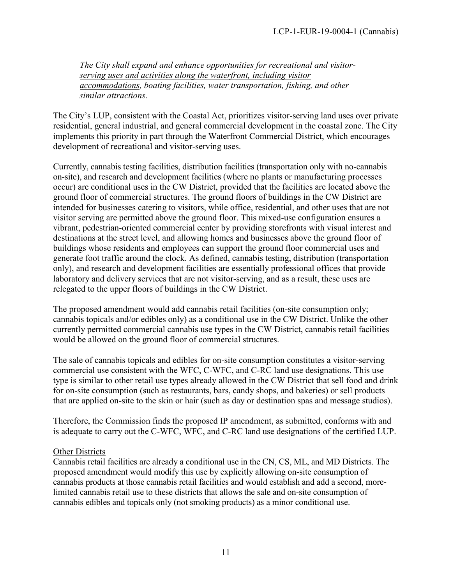*The City shall expand and enhance opportunities for recreational and visitorserving uses and activities along the waterfront, including visitor accommodations, boating facilities, water transportation, fishing, and other similar attractions.*

The City's LUP, consistent with the Coastal Act, prioritizes visitor-serving land uses over private residential, general industrial, and general commercial development in the coastal zone. The City implements this priority in part through the Waterfront Commercial District, which encourages development of recreational and visitor-serving uses.

Currently, cannabis testing facilities, distribution facilities (transportation only with no-cannabis on-site), and research and development facilities (where no plants or manufacturing processes occur) are conditional uses in the CW District, provided that the facilities are located above the ground floor of commercial structures. The ground floors of buildings in the CW District are intended for businesses catering to visitors, while office, residential, and other uses that are not visitor serving are permitted above the ground floor. This mixed-use configuration ensures a vibrant, pedestrian-oriented commercial center by providing storefronts with visual interest and destinations at the street level, and allowing homes and businesses above the ground floor of buildings whose residents and employees can support the ground floor commercial uses and generate foot traffic around the clock. As defined, cannabis testing, distribution (transportation only), and research and development facilities are essentially professional offices that provide laboratory and delivery services that are not visitor-serving, and as a result, these uses are relegated to the upper floors of buildings in the CW District.

The proposed amendment would add cannabis retail facilities (on-site consumption only; cannabis topicals and/or edibles only) as a conditional use in the CW District. Unlike the other currently permitted commercial cannabis use types in the CW District, cannabis retail facilities would be allowed on the ground floor of commercial structures.

The sale of cannabis topicals and edibles for on-site consumption constitutes a visitor-serving commercial use consistent with the WFC, C-WFC, and C-RC land use designations. This use type is similar to other retail use types already allowed in the CW District that sell food and drink for on-site consumption (such as restaurants, bars, candy shops, and bakeries) or sell products that are applied on-site to the skin or hair (such as day or destination spas and message studios).

Therefore, the Commission finds the proposed IP amendment, as submitted, conforms with and is adequate to carry out the C-WFC, WFC, and C-RC land use designations of the certified LUP.

#### Other Districts

Cannabis retail facilities are already a conditional use in the CN, CS, ML, and MD Districts. The proposed amendment would modify this use by explicitly allowing on-site consumption of cannabis products at those cannabis retail facilities and would establish and add a second, morelimited cannabis retail use to these districts that allows the sale and on-site consumption of cannabis edibles and topicals only (not smoking products) as a minor conditional use.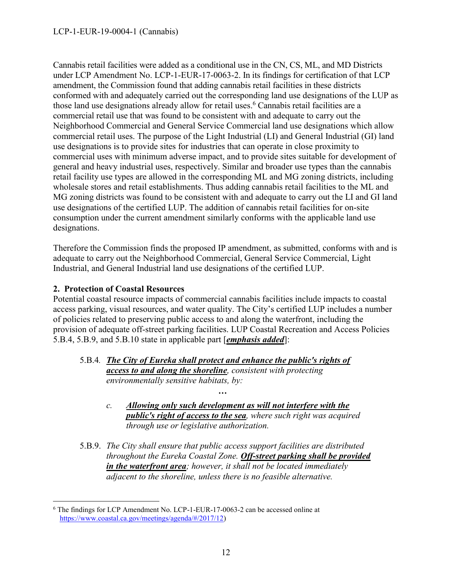Cannabis retail facilities were added as a conditional use in the CN, CS, ML, and MD Districts under LCP Amendment No. LCP-1-EUR-17-0063-2. In its findings for certification of that LCP amendment, the Commission found that adding cannabis retail facilities in these districts conformed with and adequately carried out the corresponding land use designations of the LUP as those land use designations already allow for retail uses. <sup>6</sup> Cannabis retail facilities are a commercial retail use that was found to be consistent with and adequate to carry out the Neighborhood Commercial and General Service Commercial land use designations which allow commercial retail uses. The purpose of the Light Industrial (LI) and General Industrial (GI) land use designations is to provide sites for industries that can operate in close proximity to commercial uses with minimum adverse impact, and to provide sites suitable for development of general and heavy industrial uses, respectively. Similar and broader use types than the cannabis retail facility use types are allowed in the corresponding ML and MG zoning districts, including wholesale stores and retail establishments. Thus adding cannabis retail facilities to the ML and MG zoning districts was found to be consistent with and adequate to carry out the LI and GI land use designations of the certified LUP. The addition of cannabis retail facilities for on-site consumption under the current amendment similarly conforms with the applicable land use designations.

Therefore the Commission finds the proposed IP amendment, as submitted, conforms with and is adequate to carry out the Neighborhood Commercial, General Service Commercial, Light Industrial, and General Industrial land use designations of the certified LUP.

#### <span id="page-11-0"></span>**2. Protection of Coastal Resources**

Potential coastal resource impacts of commercial cannabis facilities include impacts to coastal access parking, visual resources, and water quality. The City's certified LUP includes a number of policies related to preserving public access to and along the waterfront, including the provision of adequate off-street parking facilities. LUP Coastal Recreation and Access Policies 5.B.4, 5.B.9, and 5.B.10 state in applicable part [*emphasis added*]:

5.B.4*. The City of Eureka shall protect and enhance the public's rights of access to and along the shoreline, consistent with protecting environmentally sensitive habitats, by:*

*…*

- *c. Allowing only such development as will not interfere with the public's right of access to the sea, where such right was acquired through use or legislative authorization.*
- 5.B.9. *The City shall ensure that public access support facilities are distributed throughout the Eureka Coastal Zone. Off-street parking shall be provided in the waterfront area; however, it shall not be located immediately adjacent to the shoreline, unless there is no feasible alternative.*

 $\overline{a}$ <sup>6</sup> The findings for LCP Amendment No. LCP-1-EUR-17-0063-2 can be accessed online at [https://www.coastal.ca.gov/meetings/agenda/#/2017/12\)](https://www.coastal.ca.gov/meetings/agenda/#/2017/12)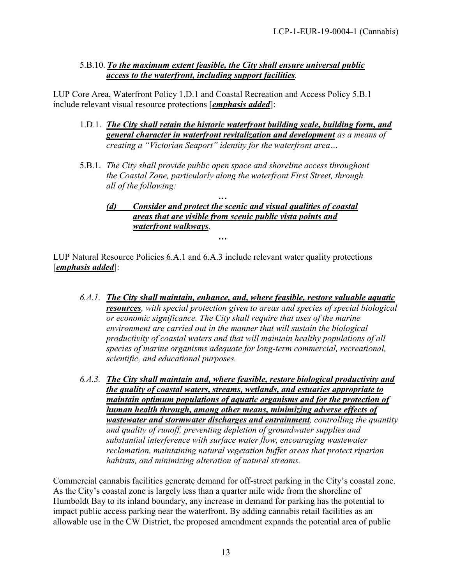#### 5.B.10. *To the maximum extent feasible, the City shall ensure universal public access to the waterfront, including support facilities.*

LUP Core Area, Waterfront Policy 1.D.1 and Coastal Recreation and Access Policy 5.B.1 include relevant visual resource protections [*emphasis added*]:

- 1.D.1. *The City shall retain the historic waterfront building scale, building form, and general character in waterfront revitalization and development as a means of creating a "Victorian Seaport" identity for the waterfront area…*
- 5.B.1. *The City shall provide public open space and shoreline access throughout the Coastal Zone, particularly along the waterfront First Street, through all of the following:*

#### *… (d) Consider and protect the scenic and visual qualities of coastal areas that are visible from scenic public vista points and waterfront walkways.*

LUP Natural Resource Policies 6.A.1 and 6.A.3 include relevant water quality protections [*emphasis added*]:

*…*

- *6.A.1. The City shall maintain, enhance, and, where feasible, restore valuable aquatic resources, with special protection given to areas and species of special biological or economic significance. The City shall require that uses of the marine environment are carried out in the manner that will sustain the biological productivity of coastal waters and that will maintain healthy populations of all species of marine organisms adequate for long-term commercial, recreational, scientific, and educational purposes.*
- *6.A.3. The City shall maintain and, where feasible, restore biological productivity and the quality of coastal waters, streams, wetlands, and estuaries appropriate to maintain optimum populations of aquatic organisms and for the protection of human health through, among other means, minimizing adverse effects of wastewater and stormwater discharges and entrainment, controlling the quantity and quality of runoff, preventing depletion of groundwater supplies and substantial interference with surface water flow, encouraging wastewater reclamation, maintaining natural vegetation buffer areas that protect riparian habitats, and minimizing alteration of natural streams.*

Commercial cannabis facilities generate demand for off-street parking in the City's coastal zone. As the City's coastal zone is largely less than a quarter mile wide from the shoreline of Humboldt Bay to its inland boundary, any increase in demand for parking has the potential to impact public access parking near the waterfront. By adding cannabis retail facilities as an allowable use in the CW District, the proposed amendment expands the potential area of public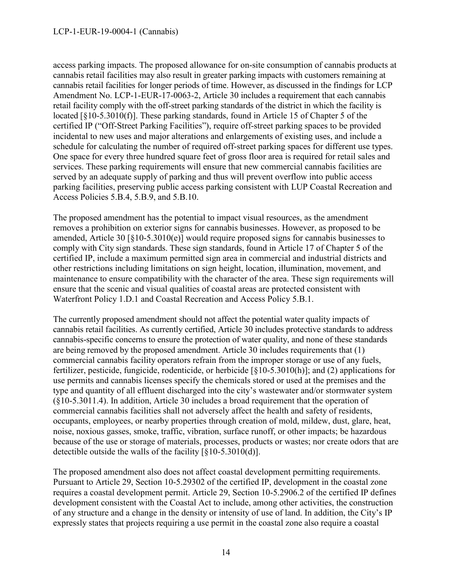access parking impacts. The proposed allowance for on-site consumption of cannabis products at cannabis retail facilities may also result in greater parking impacts with customers remaining at cannabis retail facilities for longer periods of time. However, as discussed in the findings for LCP Amendment No. LCP-1-EUR-17-0063-2, Article 30 includes a requirement that each cannabis retail facility comply with the off-street parking standards of the district in which the facility is located [§10-5.3010(f)]. These parking standards, found in Article 15 of Chapter 5 of the certified IP ("Off-Street Parking Facilities"), require off-street parking spaces to be provided incidental to new uses and major alterations and enlargements of existing uses, and include a schedule for calculating the number of required off-street parking spaces for different use types. One space for every three hundred square feet of gross floor area is required for retail sales and services. These parking requirements will ensure that new commercial cannabis facilities are served by an adequate supply of parking and thus will prevent overflow into public access parking facilities, preserving public access parking consistent with LUP Coastal Recreation and Access Policies 5.B.4, 5.B.9, and 5.B.10.

The proposed amendment has the potential to impact visual resources, as the amendment removes a prohibition on exterior signs for cannabis businesses. However, as proposed to be amended, Article 30 [§10-5.3010(e)] would require proposed signs for cannabis businesses to comply with City sign standards. These sign standards, found in Article 17 of Chapter 5 of the certified IP, include a maximum permitted sign area in commercial and industrial districts and other restrictions including limitations on sign height, location, illumination, movement, and maintenance to ensure compatibility with the character of the area. These sign requirements will ensure that the scenic and visual qualities of coastal areas are protected consistent with Waterfront Policy 1.D.1 and Coastal Recreation and Access Policy 5.B.1.

The currently proposed amendment should not affect the potential water quality impacts of cannabis retail facilities. As currently certified, Article 30 includes protective standards to address cannabis-specific concerns to ensure the protection of water quality, and none of these standards are being removed by the proposed amendment. Article 30 includes requirements that (1) commercial cannabis facility operators refrain from the improper storage or use of any fuels, fertilizer, pesticide, fungicide, rodenticide, or herbicide [§10-5.3010(h)]; and (2) applications for use permits and cannabis licenses specify the chemicals stored or used at the premises and the type and quantity of all effluent discharged into the city's wastewater and/or stormwater system (§10-5.3011.4). In addition, Article 30 includes a broad requirement that the operation of commercial cannabis facilities shall not adversely affect the health and safety of residents, occupants, employees, or nearby properties through creation of mold, mildew, dust, glare, heat, noise, noxious gasses, smoke, traffic, vibration, surface runoff, or other impacts; be hazardous because of the use or storage of materials, processes, products or wastes; nor create odors that are detectible outside the walls of the facility [§10-5.3010(d)].

The proposed amendment also does not affect coastal development permitting requirements. Pursuant to Article 29, Section 10-5.29302 of the certified IP, development in the coastal zone requires a coastal development permit. Article 29, Section 10-5.2906.2 of the certified IP defines development consistent with the Coastal Act to include, among other activities, the construction of any structure and a change in the density or intensity of use of land. In addition, the City's IP expressly states that projects requiring a use permit in the coastal zone also require a coastal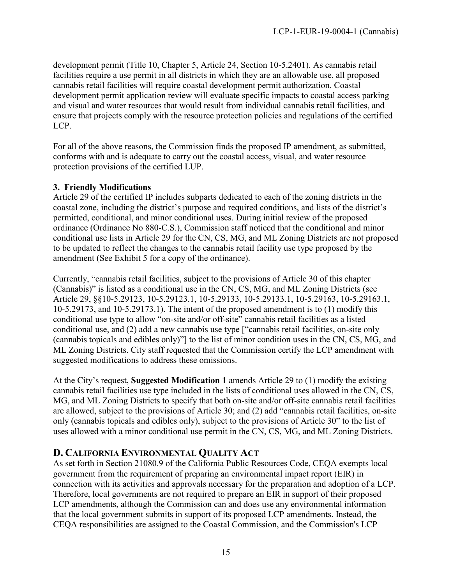development permit (Title 10, Chapter 5, Article 24, Section 10-5.2401). As cannabis retail facilities require a use permit in all districts in which they are an allowable use, all proposed cannabis retail facilities will require coastal development permit authorization. Coastal development permit application review will evaluate specific impacts to coastal access parking and visual and water resources that would result from individual cannabis retail facilities, and ensure that projects comply with the resource protection policies and regulations of the certified LCP.

For all of the above reasons, the Commission finds the proposed IP amendment, as submitted, conforms with and is adequate to carry out the coastal access, visual, and water resource protection provisions of the certified LUP.

#### <span id="page-14-0"></span>**3. Friendly Modifications**

Article 29 of the certified IP includes subparts dedicated to each of the zoning districts in the coastal zone, including the district's purpose and required conditions, and lists of the district's permitted, conditional, and minor conditional uses. During initial review of the proposed ordinance (Ordinance No 880-C.S.), Commission staff noticed that the conditional and minor conditional use lists in Article 29 for the CN, CS, MG, and ML Zoning Districts are not proposed to be updated to reflect the changes to the cannabis retail facility use type proposed by the amendment (See Exhibit 5 for a copy of the ordinance).

Currently, "cannabis retail facilities, subject to the provisions of Article 30 of this chapter (Cannabis)" is listed as a conditional use in the CN, CS, MG, and ML Zoning Districts (see Article 29, §§10-5.29123, 10-5.29123.1, 10-5.29133, 10-5.29133.1, 10-5.29163, 10-5.29163.1, 10-5.29173, and 10-5.29173.1). The intent of the proposed amendment is to (1) modify this conditional use type to allow "on-site and/or off-site" cannabis retail facilities as a listed conditional use, and (2) add a new cannabis use type ["cannabis retail facilities, on-site only (cannabis topicals and edibles only)"] to the list of minor condition uses in the CN, CS, MG, and ML Zoning Districts. City staff requested that the Commission certify the LCP amendment with suggested modifications to address these omissions.

At the City's request, **Suggested Modification 1** amends Article 29 to (1) modify the existing cannabis retail facilities use type included in the lists of conditional uses allowed in the CN, CS, MG, and ML Zoning Districts to specify that both on-site and/or off-site cannabis retail facilities are allowed, subject to the provisions of Article 30; and (2) add "cannabis retail facilities, on-site only (cannabis topicals and edibles only), subject to the provisions of Article 30" to the list of uses allowed with a minor conditional use permit in the CN, CS, MG, and ML Zoning Districts.

# <span id="page-14-1"></span>**D. CALIFORNIA ENVIRONMENTAL QUALITY ACT**

As set forth in Section 21080.9 of the California Public Resources Code, CEQA exempts local government from the requirement of preparing an environmental impact report (EIR) in connection with its activities and approvals necessary for the preparation and adoption of a LCP. Therefore, local governments are not required to prepare an EIR in support of their proposed LCP amendments, although the Commission can and does use any environmental information that the local government submits in support of its proposed LCP amendments. Instead, the CEQA responsibilities are assigned to the Coastal Commission, and the Commission's LCP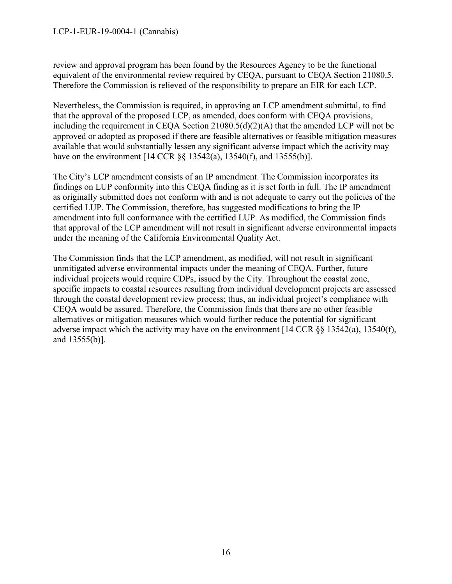review and approval program has been found by the Resources Agency to be the functional equivalent of the environmental review required by CEQA, pursuant to CEQA Section 21080.5. Therefore the Commission is relieved of the responsibility to prepare an EIR for each LCP.

Nevertheless, the Commission is required, in approving an LCP amendment submittal, to find that the approval of the proposed LCP, as amended, does conform with CEQA provisions, including the requirement in CEQA Section 21080.5(d)(2)(A) that the amended LCP will not be approved or adopted as proposed if there are feasible alternatives or feasible mitigation measures available that would substantially lessen any significant adverse impact which the activity may have on the environment [14 CCR §§ 13542(a), 13540(f), and 13555(b)].

The City's LCP amendment consists of an IP amendment. The Commission incorporates its findings on LUP conformity into this CEQA finding as it is set forth in full. The IP amendment as originally submitted does not conform with and is not adequate to carry out the policies of the certified LUP. The Commission, therefore, has suggested modifications to bring the IP amendment into full conformance with the certified LUP. As modified, the Commission finds that approval of the LCP amendment will not result in significant adverse environmental impacts under the meaning of the California Environmental Quality Act.

The Commission finds that the LCP amendment, as modified, will not result in significant unmitigated adverse environmental impacts under the meaning of CEQA. Further, future individual projects would require CDPs, issued by the City. Throughout the coastal zone, specific impacts to coastal resources resulting from individual development projects are assessed through the coastal development review process; thus, an individual project's compliance with CEQA would be assured. Therefore, the Commission finds that there are no other feasible alternatives or mitigation measures which would further reduce the potential for significant adverse impact which the activity may have on the environment [14 CCR §§ 13542(a), 13540(f), and 13555(b)].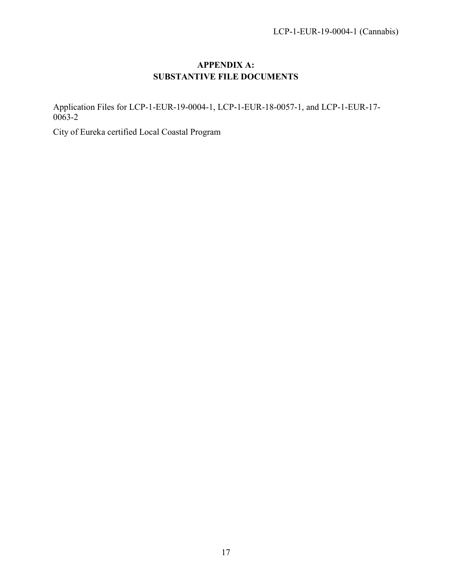# **APPENDIX A: SUBSTANTIVE FILE DOCUMENTS**

<span id="page-16-0"></span>Application Files for LCP-1-EUR-19-0004-1, LCP-1-EUR-18-0057-1, and LCP-1-EUR-17-  $0063-2$ 

City of Eureka certified Local Coastal Program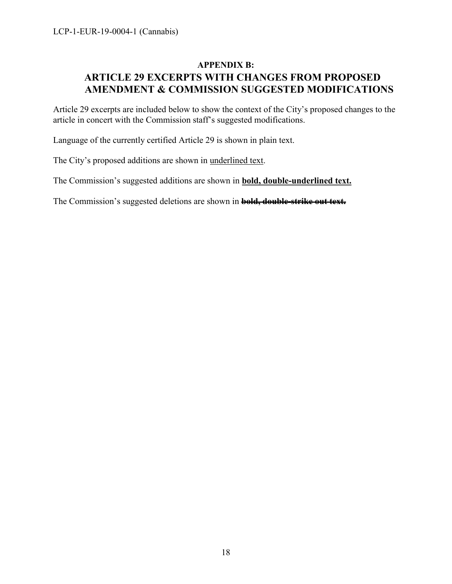# <span id="page-17-0"></span>**APPENDIX B: ARTICLE 29 EXCERPTS WITH CHANGES FROM PROPOSED AMENDMENT & COMMISSION SUGGESTED MODIFICATIONS**

Article 29 excerpts are included below to show the context of the City's proposed changes to the article in concert with the Commission staff's suggested modifications.

Language of the currently certified Article 29 is shown in plain text.

The City's proposed additions are shown in underlined text.

The Commission's suggested additions are shown in **bold, double-underlined text.**

The Commission's suggested deletions are shown in **bold, double-strike out text.**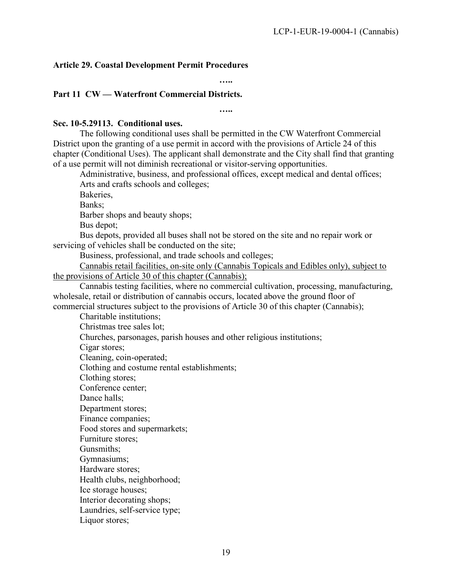#### **Article 29. Coastal Development Permit Procedures**

**…..**

#### **Part 11 CW — Waterfront Commercial Districts.**

**…..**

#### **Sec. 10-5.29113. Conditional uses.**

The following conditional uses shall be permitted in the CW Waterfront Commercial District upon the granting of a use permit in accord with the provisions of Article 24 of this chapter (Conditional Uses). The applicant shall demonstrate and the City shall find that granting of a use permit will not diminish recreational or visitor-serving opportunities.

Administrative, business, and professional offices, except medical and dental offices; Arts and crafts schools and colleges;

Bakeries,

Banks;

Barber shops and beauty shops;

Bus depot;

Bus depots, provided all buses shall not be stored on the site and no repair work or servicing of vehicles shall be conducted on the site;

Business, professional, and trade schools and colleges;

Cannabis retail facilities, on-site only (Cannabis Topicals and Edibles only), subject to the provisions of Article 30 of this chapter (Cannabis);

Cannabis testing facilities, where no commercial cultivation, processing, manufacturing, wholesale, retail or distribution of cannabis occurs, located above the ground floor of commercial structures subject to the provisions of Article 30 of this chapter (Cannabis);

Charitable institutions;

Christmas tree sales lot;

Churches, parsonages, parish houses and other religious institutions;

Cigar stores;

Cleaning, coin-operated;

Clothing and costume rental establishments;

Clothing stores;

Conference center;

Dance halls;

Department stores;

Finance companies;

Food stores and supermarkets;

Furniture stores;

Gunsmiths;

Gymnasiums;

Hardware stores;

Health clubs, neighborhood;

Ice storage houses;

Interior decorating shops;

Laundries, self-service type;

Liquor stores;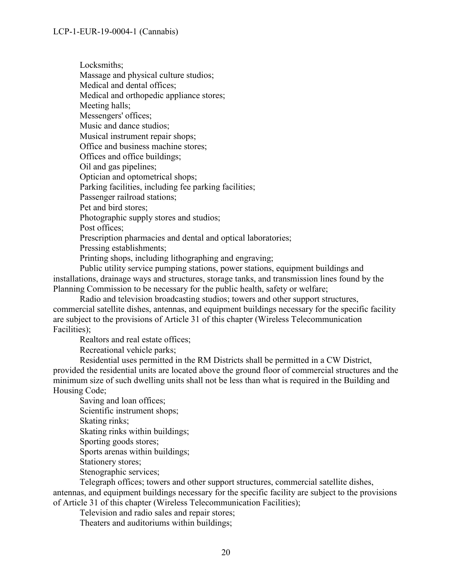Locksmiths; Massage and physical culture studios; Medical and dental offices; Medical and orthopedic appliance stores; Meeting halls; Messengers' offices; Music and dance studios; Musical instrument repair shops; Office and business machine stores; Offices and office buildings; Oil and gas pipelines; Optician and optometrical shops; Parking facilities, including fee parking facilities; Passenger railroad stations; Pet and bird stores; Photographic supply stores and studios; Post offices; Prescription pharmacies and dental and optical laboratories; Pressing establishments; Printing shops, including lithographing and engraving;

Public utility service pumping stations, power stations, equipment buildings and installations, drainage ways and structures, storage tanks, and transmission lines found by the Planning Commission to be necessary for the public health, safety or welfare;

Radio and television broadcasting studios; towers and other support structures, commercial satellite dishes, antennas, and equipment buildings necessary for the specific facility are subject to the provisions of Article 31 of this chapter (Wireless Telecommunication Facilities);

Realtors and real estate offices;

Recreational vehicle parks;

Residential uses permitted in the RM Districts shall be permitted in a CW District, provided the residential units are located above the ground floor of commercial structures and the minimum size of such dwelling units shall not be less than what is required in the Building and Housing Code;

Saving and loan offices; Scientific instrument shops; Skating rinks; Skating rinks within buildings; Sporting goods stores; Sports arenas within buildings; Stationery stores; Stenographic services;

Telegraph offices; towers and other support structures, commercial satellite dishes, antennas, and equipment buildings necessary for the specific facility are subject to the provisions of Article 31 of this chapter (Wireless Telecommunication Facilities);

Television and radio sales and repair stores;

Theaters and auditoriums within buildings;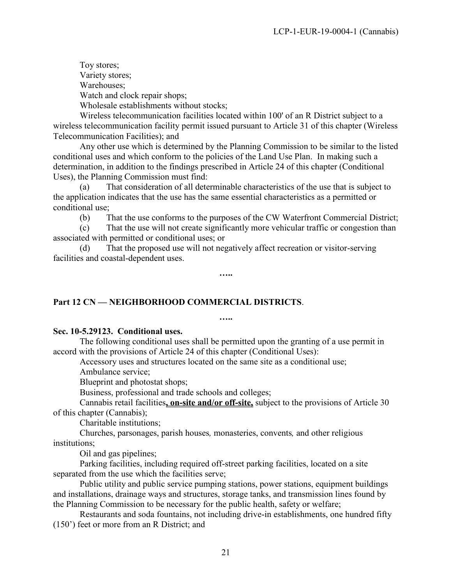Toy stores; Variety stores; Warehouses; Watch and clock repair shops; Wholesale establishments without stocks;

Wireless telecommunication facilities located within 100' of an R District subject to a wireless telecommunication facility permit issued pursuant to Article 31 of this chapter (Wireless Telecommunication Facilities); and

Any other use which is determined by the Planning Commission to be similar to the listed conditional uses and which conform to the policies of the Land Use Plan. In making such a determination, in addition to the findings prescribed in Article 24 of this chapter (Conditional Uses), the Planning Commission must find:

(a) That consideration of all determinable characteristics of the use that is subject to the application indicates that the use has the same essential characteristics as a permitted or conditional use;

(b) That the use conforms to the purposes of the CW Waterfront Commercial District;

(c) That the use will not create significantly more vehicular traffic or congestion than associated with permitted or conditional uses; or

**…..**

(d) That the proposed use will not negatively affect recreation or visitor-serving facilities and coastal-dependent uses.

# **Part 12 CN — NEIGHBORHOOD COMMERCIAL DISTRICTS**.

**…..**

#### **Sec. 10-5.29123. Conditional uses.**

The following conditional uses shall be permitted upon the granting of a use permit in accord with the provisions of Article 24 of this chapter (Conditional Uses):

Accessory uses and structures located on the same site as a conditional use;

Ambulance service;

Blueprint and photostat shops;

Business, professional and trade schools and colleges;

Cannabis retail facilities**, on-site and/or off-site,** subject to the provisions of Article 30 of this chapter (Cannabis);

Charitable institutions;

Churches, parsonages, parish houses*,* monasteries, convents*,* and other religious institutions;

Oil and gas pipelines;

Parking facilities, including required off-street parking facilities, located on a site separated from the use which the facilities serve;

Public utility and public service pumping stations, power stations, equipment buildings and installations, drainage ways and structures, storage tanks, and transmission lines found by the Planning Commission to be necessary for the public health, safety or welfare;

Restaurants and soda fountains, not including drive-in establishments, one hundred fifty (150') feet or more from an R District; and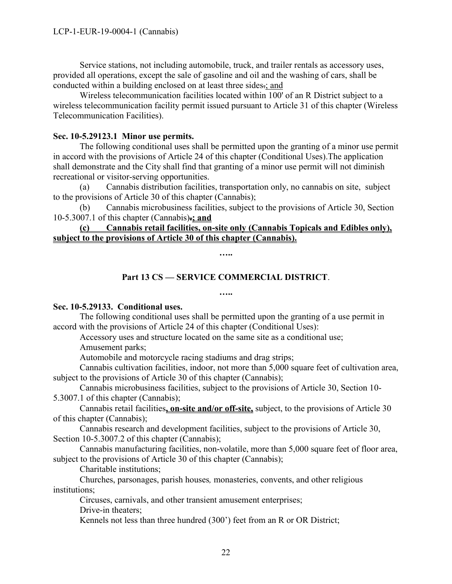Service stations, not including automobile, truck, and trailer rentals as accessory uses, provided all operations, except the sale of gasoline and oil and the washing of cars, shall be conducted within a building enclosed on at least three sides.; and

Wireless telecommunication facilities located within 100' of an R District subject to a wireless telecommunication facility permit issued pursuant to Article 31 of this chapter (Wireless Telecommunication Facilities).

#### **Sec. 10-5.29123.1 Minor use permits.**

The following conditional uses shall be permitted upon the granting of a minor use permit in accord with the provisions of Article 24 of this chapter (Conditional Uses).The application shall demonstrate and the City shall find that granting of a minor use permit will not diminish recreational or visitor-serving opportunities.

(a) Cannabis distribution facilities, transportation only, no cannabis on site, subject to the provisions of Article 30 of this chapter (Cannabis);

(b) Cannabis microbusiness facilities, subject to the provisions of Article 30, Section 10-5.3007.1 of this chapter (Cannabis)**.; and**

#### **(c) Cannabis retail facilities, on-site only (Cannabis Topicals and Edibles only), subject to the provisions of Article 30 of this chapter (Cannabis).**

**…..**

### **Part 13 CS — SERVICE COMMERCIAL DISTRICT**.

**…..**

#### **Sec. 10-5.29133. Conditional uses.**

The following conditional uses shall be permitted upon the granting of a use permit in accord with the provisions of Article 24 of this chapter (Conditional Uses):

Accessory uses and structure located on the same site as a conditional use; Amusement parks;

Automobile and motorcycle racing stadiums and drag strips;

Cannabis cultivation facilities, indoor, not more than 5,000 square feet of cultivation area, subject to the provisions of Article 30 of this chapter (Cannabis);

Cannabis microbusiness facilities, subject to the provisions of Article 30, Section 10- 5.3007.1 of this chapter (Cannabis);

Cannabis retail facilities**, on-site and/or off-site,** subject, to the provisions of Article 30 of this chapter (Cannabis);

Cannabis research and development facilities, subject to the provisions of Article 30, Section 10-5.3007.2 of this chapter (Cannabis);

Cannabis manufacturing facilities, non-volatile, more than 5,000 square feet of floor area, subject to the provisions of Article 30 of this chapter (Cannabis):

Charitable institutions;

Churches, parsonages, parish houses*,* monasteries, convents, and other religious institutions;

Circuses, carnivals, and other transient amusement enterprises;

Drive-in theaters;

Kennels not less than three hundred (300') feet from an R or OR District;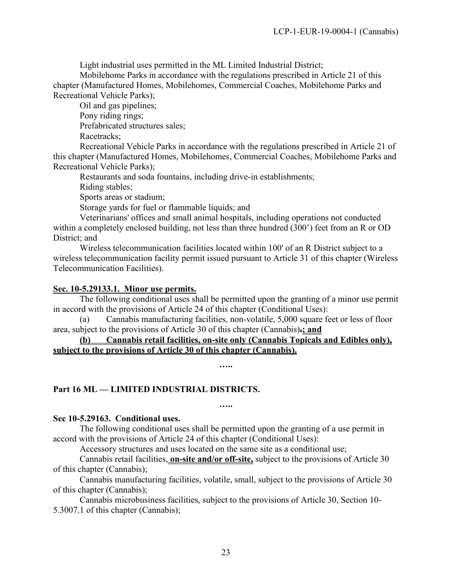Light industrial uses permitted in the ML Limited Industrial District;

Mobilehome Parks in accordance with the regulations prescribed in Article 21 of this chapter (Manufactured Homes, Mobilehomes, Commercial Coaches, Mobilehome Parks and Recreational Vehicle Parks);

Oil and gas pipelines; Pony riding rings;

Prefabricated structures sales;

Racetracks;

Recreational Vehicle Parks in accordance with the regulations prescribed in Article 21 of this chapter (Manufactured Homes, Mobilehomes, Commercial Coaches, Mobilehome Parks and Recreational Vehicle Parks);

Restaurants and soda fountains, including drive-in establishments;

Riding stables;

Sports areas or stadium;

Storage yards for fuel or flammable liquids; and

Veterinarians' offices and small animal hospitals, including operations not conducted within a completely enclosed building, not less than three hundred (300<sup>o</sup>) feet from an R or OD District: and

Wireless telecommunication facilities located within 100' of an R District subject to a wireless telecommunication facility permit issued pursuant to Article 31 of this chapter (Wireless Telecommunication Facilities).

#### **Sec. 10-5.29133.1. Minor use permits.**

The following conditional uses shall be permitted upon the granting of a minor use permit in accord with the provisions of Article 24 of this chapter (Conditional Uses):

(a) Cannabis manufacturing facilities, non-volatile, 5,000 square feet or less of floor area, subject to the provisions of Article 30 of this chapter (Cannabis)**.; and**

#### **(b) Cannabis retail facilities, on-site only (Cannabis Topicals and Edibles only), subject to the provisions of Article 30 of this chapter (Cannabis).**

**…..**

### **Part 16 ML — LIMITED INDUSTRIAL DISTRICTS.**

**…..**

#### **Sec 10-5.29163. Conditional uses.**

The following conditional uses shall be permitted upon the granting of a use permit in accord with the provisions of Article 24 of this chapter (Conditional Uses):

Accessory structures and uses located on the same site as a conditional use;

Cannabis retail facilities, **on-site and/or off-site,** subject to the provisions of Article 30 of this chapter (Cannabis);

Cannabis manufacturing facilities, volatile, small, subject to the provisions of Article 30 of this chapter (Cannabis);

Cannabis microbusiness facilities, subject to the provisions of Article 30, Section 10- 5.3007.1 of this chapter (Cannabis);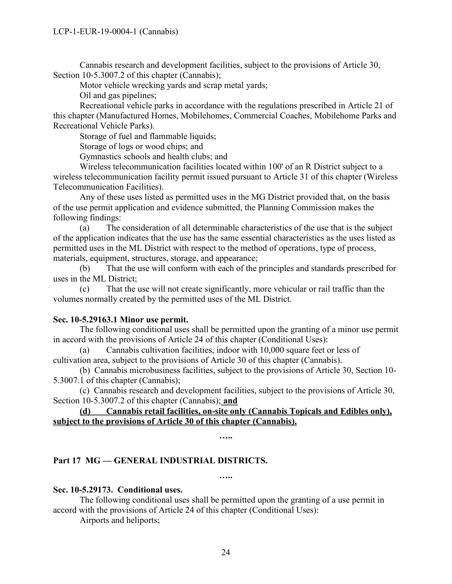Cannabis research and development facilities, subject to the provisions of Article 30, Section 10-5.3007.2 of this chapter (Cannabis);

Motor vehicle wrecking yards and scrap metal yards;

Oil and gas pipelines;

Recreational vehicle parks in accordance with the regulations prescribed in Article 21 of this chapter (Manufactured Homes, Mobilehomes, Commercial Coaches, Mobilehome Parks and Recreational Vehicle Parks).

Storage of fuel and flammable liquids;

Storage of logs or wood chips; and

Gymnastics schools and health clubs; and

Wireless telecommunication facilities located within 100' of an R District subject to a wireless telecommunication facility permit issued pursuant to Article 31 of this chapter (Wireless Telecommunication Facilities).

Any of these uses listed as permitted uses in the MG District provided that, on the basis of the use permit application and evidence submitted, the Planning Commission makes the following findings:

(a) The consideration of all determinable characteristics of the use that is the subject of the application indicates that the use has the same essential characteristics as the uses listed as permitted uses in the ML District with respect to the method of operations, type of process, materials, equipment, structures, storage, and appearance;

(b) That the use will conform with each of the principles and standards prescribed for uses in the ML District;

(c) That the use will not create significantly, more vehicular or rail traffic than the volumes normally created by the permitted uses of the ML District.

#### **Sec. 10-5.29163.1 Minor use permit.**

The following conditional uses shall be permitted upon the granting of a minor use permit in accord with the provisions of Article 24 of this chapter (Conditional Uses):

(a) Cannabis cultivation facilities, indoor with 10,000 square feet or less of cultivation area, subject to the provisions of Article 30 of this chapter (Cannabis).

(b) Cannabis microbusiness facilities, subject to the provisions of Article 30, Section 10- 5.3007.1 of this chapter (Cannabis);

(c) Cannabis research and development facilities, subject to the provisions of Article 30, Section 10-5.3007.2 of this chapter (Cannabis); **and**

#### **(d) Cannabis retail facilities, on-site only (Cannabis Topicals and Edibles only), subject to the provisions of Article 30 of this chapter (Cannabis).**

**…..**

# **Part 17 MG — GENERAL INDUSTRIAL DISTRICTS.**

**…..**

#### **Sec. 10-5.29173. Conditional uses.**

The following conditional uses shall be permitted upon the granting of a use permit in accord with the provisions of Article 24 of this chapter (Conditional Uses):

Airports and heliports;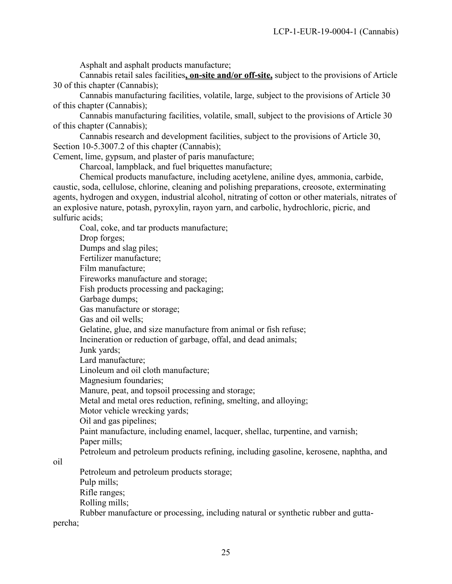Asphalt and asphalt products manufacture;

Cannabis retail sales facilities**, on-site and/or off-site,** subject to the provisions of Article 30 of this chapter (Cannabis);

Cannabis manufacturing facilities, volatile, large, subject to the provisions of Article 30 of this chapter (Cannabis);

Cannabis manufacturing facilities, volatile, small, subject to the provisions of Article 30 of this chapter (Cannabis);

Cannabis research and development facilities, subject to the provisions of Article 30, Section 10-5.3007.2 of this chapter (Cannabis);

Cement, lime, gypsum, and plaster of paris manufacture;

Charcoal, lampblack, and fuel briquettes manufacture;

Chemical products manufacture, including acetylene, aniline dyes, ammonia, carbide, caustic, soda, cellulose, chlorine, cleaning and polishing preparations, creosote, exterminating agents, hydrogen and oxygen, industrial alcohol, nitrating of cotton or other materials, nitrates of an explosive nature, potash, pyroxylin, rayon yarn, and carbolic, hydrochloric, picric, and sulfuric acids;

Coal, coke, and tar products manufacture; Drop forges; Dumps and slag piles; Fertilizer manufacture; Film manufacture; Fireworks manufacture and storage; Fish products processing and packaging; Garbage dumps; Gas manufacture or storage; Gas and oil wells; Gelatine, glue, and size manufacture from animal or fish refuse; Incineration or reduction of garbage, offal, and dead animals; Junk yards; Lard manufacture; Linoleum and oil cloth manufacture; Magnesium foundaries; Manure, peat, and topsoil processing and storage; Metal and metal ores reduction, refining, smelting, and alloying; Motor vehicle wrecking yards; Oil and gas pipelines; Paint manufacture, including enamel, lacquer, shellac, turpentine, and varnish; Paper mills; Petroleum and petroleum products refining, including gasoline, kerosene, naphtha, and Petroleum and petroleum products storage; Pulp mills; Rifle ranges; Rolling mills; Rubber manufacture or processing, including natural or synthetic rubber and gutta-

percha;

oil